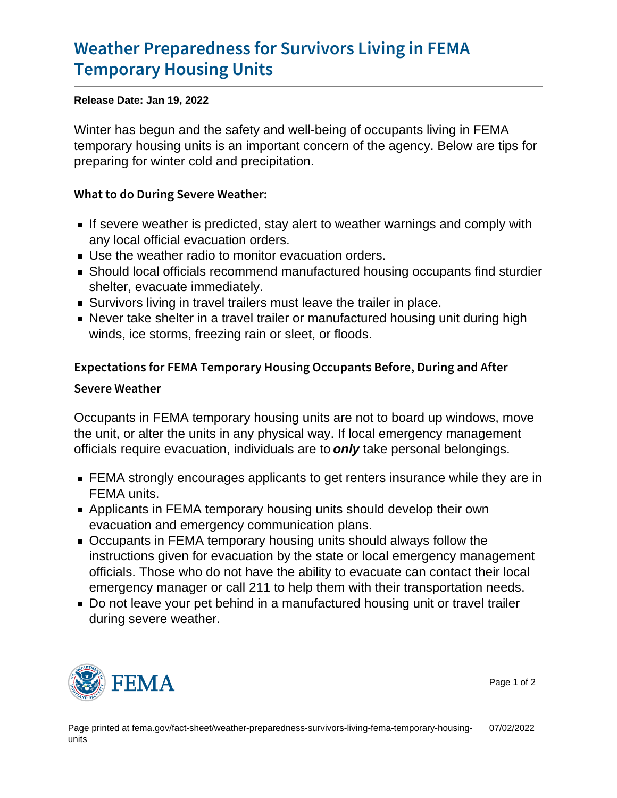## [Weather Preparedness for Surv](https://www.fema.gov/fact-sheet/weather-preparedness-survivors-living-fema-temporary-housing-units)ivors Livin [Temporary Hous](https://www.fema.gov/fact-sheet/weather-preparedness-survivors-living-fema-temporary-housing-units)ing Units

Release Date: Jan 19, 2022

Winter has begun and the safety and well-being of occupants living in FEMA temporary housing units is an important concern of the agency. Below are tips for preparing for winter cold and precipitation.

What to do During Severe Weather:

- If severe weather is predicted, stay alert to weather warnings and comply with any local official evacuation orders.
- Use the weather radio to monitor evacuation orders.
- Should local officials recommend manufactured housing occupants find sturdier shelter, evacuate immediately.
- Survivors living in travel trailers must leave the trailer in place.
- Never take shelter in a travel trailer or manufactured housing unit during high winds, ice storms, freezing rain or sleet, or floods.

Expectations for FEMA Temporary Housing Occupants Befo Severe Weather

Occupants in FEMA temporary housing units are not to board up windows, move the unit, or alter the units in any physical way. If local emergency management officials require evacuation, individuals are to only take personal belongings.

- FEMA strongly encourages applicants to get renters insurance while they are in FEMA units.
- Applicants in FEMA temporary housing units should develop their own evacuation and emergency communication plans.
- Occupants in FEMA temporary housing units should always follow the instructions given for evacuation by the state or local emergency management officials. Those who do not have the ability to evacuate can contact their local emergency manager or call 211 to help them with their transportation needs.
- Do not leave your pet behind in a manufactured housing unit or travel trailer during severe weather.



Page 1 of 2